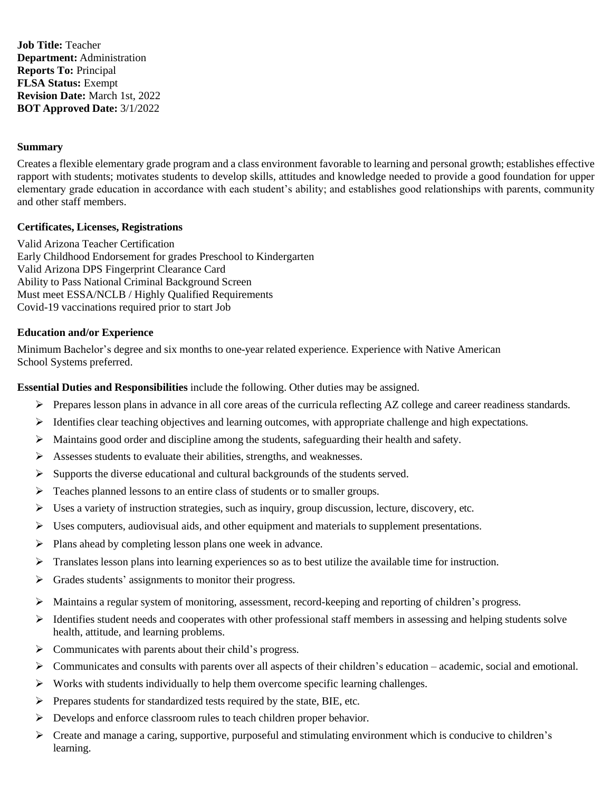**Job Title:** Teacher **Department:** Administration **Reports To:** Principal **FLSA Status:** Exempt **Revision Date:** March 1st, 2022 **BOT Approved Date:** 3/1/2022

### **Summary**

Creates a flexible elementary grade program and a class environment favorable to learning and personal growth; establishes effective rapport with students; motivates students to develop skills, attitudes and knowledge needed to provide a good foundation for upper elementary grade education in accordance with each student's ability; and establishes good relationships with parents, community and other staff members.

## **Certificates, Licenses, Registrations**

Valid Arizona Teacher Certification Early Childhood Endorsement for grades Preschool to Kindergarten Valid Arizona DPS Fingerprint Clearance Card Ability to Pass National Criminal Background Screen Must meet ESSA/NCLB / Highly Qualified Requirements Covid-19 vaccinations required prior to start Job

## **Education and/or Experience**

Minimum Bachelor's degree and six months to one-year related experience. Experience with Native American School Systems preferred.

**Essential Duties and Responsibilities** include the following. Other duties may be assigned.

- $\triangleright$  Prepares lesson plans in advance in all core areas of the curricula reflecting AZ college and career readiness standards.
- $\triangleright$  Identifies clear teaching objectives and learning outcomes, with appropriate challenge and high expectations.
- ➢ Maintains good order and discipline among the students, safeguarding their health and safety.
- ➢ Assesses students to evaluate their abilities, strengths, and weaknesses.
- $\triangleright$  Supports the diverse educational and cultural backgrounds of the students served.
- ➢ Teaches planned lessons to an entire class of students or to smaller groups.
- $\triangleright$  Uses a variety of instruction strategies, such as inquiry, group discussion, lecture, discovery, etc.
- $\triangleright$  Uses computers, audiovisual aids, and other equipment and materials to supplement presentations.
- ➢ Plans ahead by completing lesson plans one week in advance.
- $\triangleright$  Translates lesson plans into learning experiences so as to best utilize the available time for instruction.
- ➢ Grades students' assignments to monitor their progress.
- ➢ Maintains a regular system of monitoring, assessment, record-keeping and reporting of children's progress.
- $\triangleright$  Identifies student needs and cooperates with other professional staff members in assessing and helping students solve health, attitude, and learning problems.
- ➢ Communicates with parents about their child's progress.
- $\triangleright$  Communicates and consults with parents over all aspects of their children's education academic, social and emotional.
- $\triangleright$  Works with students individually to help them overcome specific learning challenges.
- ➢ Prepares students for standardized tests required by the state, BIE, etc.
- ➢ Develops and enforce classroom rules to teach children proper behavior.
- ➢ Create and manage a caring, supportive, purposeful and stimulating environment which is conducive to children's learning.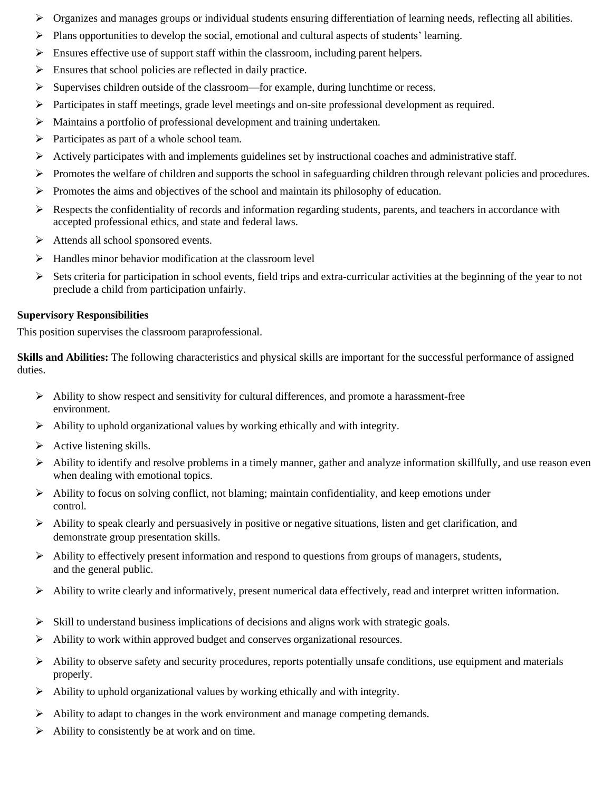- $\triangleright$  Organizes and manages groups or individual students ensuring differentiation of learning needs, reflecting all abilities.
- $\triangleright$  Plans opportunities to develop the social, emotional and cultural aspects of students' learning.
- $\triangleright$  Ensures effective use of support staff within the classroom, including parent helpers.
- $\triangleright$  Ensures that school policies are reflected in daily practice.
- $\triangleright$  Supervises children outside of the classroom—for example, during lunchtime or recess.
- ➢ Participates in staff meetings, grade level meetings and on-site professional development as required.
- ➢ Maintains a portfolio of professional development and training undertaken.
- ➢ Participates as part of a whole school team.
- ➢ Actively participates with and implements guidelines set by instructional coaches and administrative staff.
- ➢ Promotes the welfare of children and supports the school in safeguarding children through relevant policies and procedures.
- $\triangleright$  Promotes the aims and objectives of the school and maintain its philosophy of education.
- $\triangleright$  Respects the confidentiality of records and information regarding students, parents, and teachers in accordance with accepted professional ethics, and state and federal laws.
- ➢ Attends all school sponsored events.
- ➢ Handles minor behavior modification at the classroom level
- $\triangleright$  Sets criteria for participation in school events, field trips and extra-curricular activities at the beginning of the year to not preclude a child from participation unfairly.

## **Supervisory Responsibilities**

This position supervises the classroom paraprofessional.

**Skills and Abilities:** The following characteristics and physical skills are important for the successful performance of assigned duties.

- $\triangleright$  Ability to show respect and sensitivity for cultural differences, and promote a harassment-free environment.
- $\triangleright$  Ability to uphold organizational values by working ethically and with integrity.
- $\triangleright$  Active listening skills.
- $\triangleright$  Ability to identify and resolve problems in a timely manner, gather and analyze information skillfully, and use reason even when dealing with emotional topics.
- ➢ Ability to focus on solving conflict, not blaming; maintain confidentiality, and keep emotions under control.
- $\triangleright$  Ability to speak clearly and persuasively in positive or negative situations, listen and get clarification, and demonstrate group presentation skills.
- $\triangleright$  Ability to effectively present information and respond to questions from groups of managers, students, and the general public.
- $\triangleright$  Ability to write clearly and informatively, present numerical data effectively, read and interpret written information.
- $\triangleright$  Skill to understand business implications of decisions and aligns work with strategic goals.
- ➢ Ability to work within approved budget and conserves organizational resources.
- $\triangleright$  Ability to observe safety and security procedures, reports potentially unsafe conditions, use equipment and materials properly.
- ➢ Ability to uphold organizational values by working ethically and with integrity.
- $\triangleright$  Ability to adapt to changes in the work environment and manage competing demands.
- $\triangleright$  Ability to consistently be at work and on time.